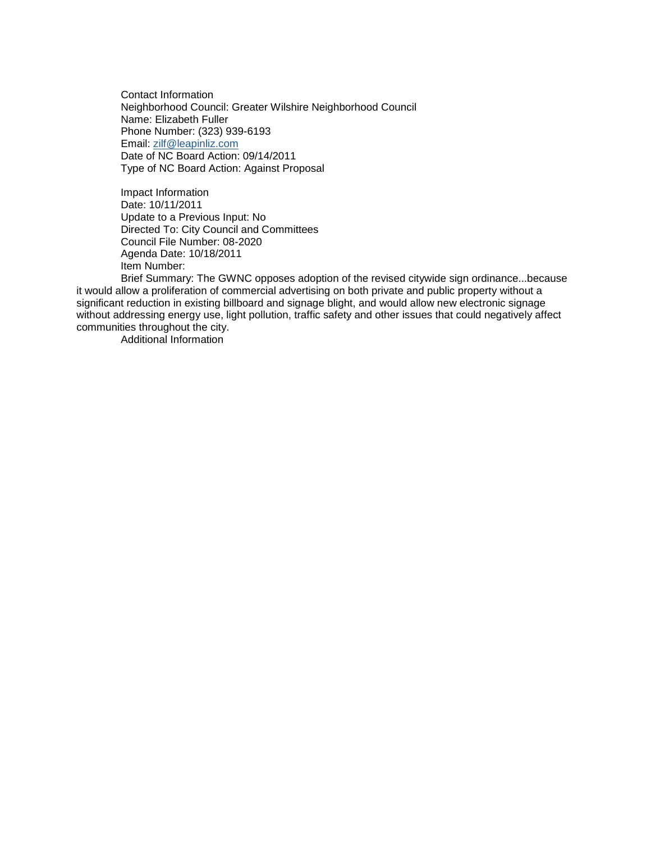Contact Information Neighborhood Council: Greater Wilshire Neighborhood Council Name: Elizabeth Fuller Phone Number: (323) 939-6193 Email: [zilf@leapinliz.com](mailto:zilf@leapinliz.com) Date of NC Board Action: 09/14/2011 Type of NC Board Action: Against Proposal

Impact Information Date: 10/11/2011 Update to a Previous Input: No Directed To: City Council and Committees Council File Number: 08-2020 Agenda Date: 10/18/2011 Item Number:

Brief Summary: The GWNC opposes adoption of the revised citywide sign ordinance...because it would allow a proliferation of commercial advertising on both private and public property without a significant reduction in existing billboard and signage blight, and would allow new electronic signage without addressing energy use, light pollution, traffic safety and other issues that could negatively affect communities throughout the city.

Additional Information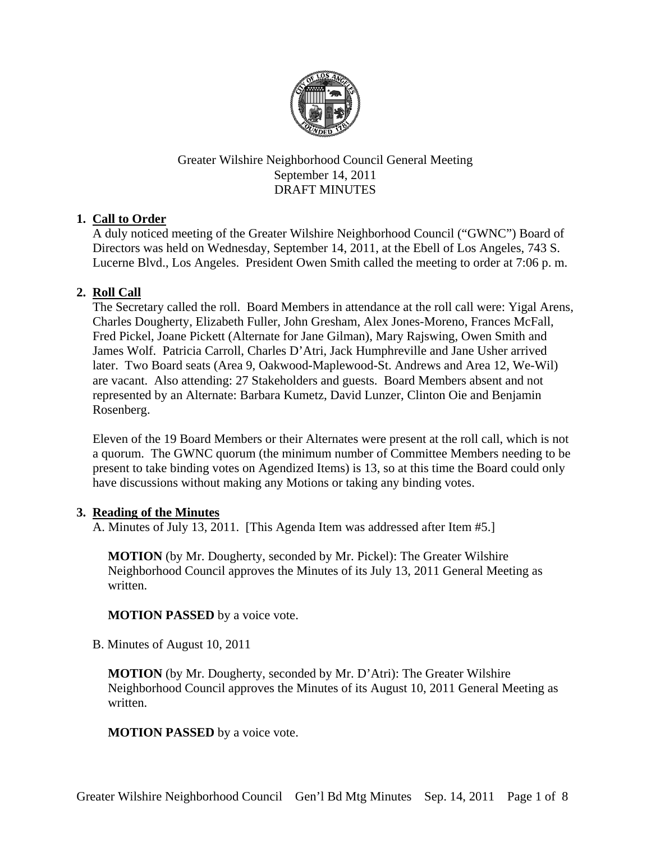

## Greater Wilshire Neighborhood Council General Meeting September 14, 2011 DRAFT MINUTES

# **1. Call to Order**

A duly noticed meeting of the Greater Wilshire Neighborhood Council ("GWNC") Board of Directors was held on Wednesday, September 14, 2011, at the Ebell of Los Angeles, 743 S. Lucerne Blvd., Los Angeles. President Owen Smith called the meeting to order at 7:06 p. m.

# **2. Roll Call**

The Secretary called the roll. Board Members in attendance at the roll call were: Yigal Arens, Charles Dougherty, Elizabeth Fuller, John Gresham, Alex Jones-Moreno, Frances McFall, Fred Pickel, Joane Pickett (Alternate for Jane Gilman), Mary Rajswing, Owen Smith and James Wolf. Patricia Carroll, Charles D'Atri, Jack Humphreville and Jane Usher arrived later. Two Board seats (Area 9, Oakwood-Maplewood-St. Andrews and Area 12, We-Wil) are vacant. Also attending: 27 Stakeholders and guests. Board Members absent and not represented by an Alternate: Barbara Kumetz, David Lunzer, Clinton Oie and Benjamin Rosenberg.

Eleven of the 19 Board Members or their Alternates were present at the roll call, which is not a quorum. The GWNC quorum (the minimum number of Committee Members needing to be present to take binding votes on Agendized Items) is 13, so at this time the Board could only have discussions without making any Motions or taking any binding votes.

## **3. Reading of the Minutes**

A. Minutes of July 13, 2011. [This Agenda Item was addressed after Item #5.]

**MOTION** (by Mr. Dougherty, seconded by Mr. Pickel): The Greater Wilshire Neighborhood Council approves the Minutes of its July 13, 2011 General Meeting as written.

**MOTION PASSED** by a voice vote.

B. Minutes of August 10, 2011

**MOTION** (by Mr. Dougherty, seconded by Mr. D'Atri): The Greater Wilshire Neighborhood Council approves the Minutes of its August 10, 2011 General Meeting as written.

**MOTION PASSED** by a voice vote.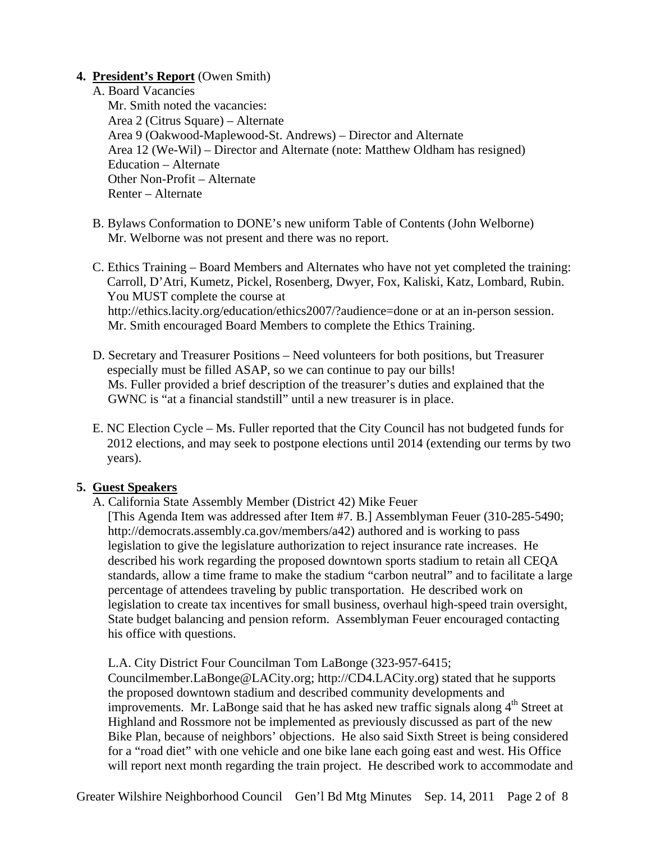### **4. President's Report** (Owen Smith)

A. Board Vacancies

Mr. Smith noted the vacancies: Area 2 (Citrus Square) – Alternate Area 9 (Oakwood-Maplewood-St. Andrews) – Director and Alternate Area 12 (We-Wil) – Director and Alternate (note: Matthew Oldham has resigned) Education – Alternate Other Non-Profit – Alternate Renter – Alternate

- B. Bylaws Conformation to DONE's new uniform Table of Contents (John Welborne) Mr. Welborne was not present and there was no report.
- C. Ethics Training Board Members and Alternates who have not yet completed the training: Carroll, D'Atri, Kumetz, Pickel, Rosenberg, Dwyer, Fox, Kaliski, Katz, Lombard, Rubin. You MUST complete the course at http://ethics.lacity.org/education/ethics2007/?audience=done or at an in-person session. Mr. Smith encouraged Board Members to complete the Ethics Training.
- D. Secretary and Treasurer Positions Need volunteers for both positions, but Treasurer especially must be filled ASAP, so we can continue to pay our bills! Ms. Fuller provided a brief description of the treasurer's duties and explained that the GWNC is "at a financial standstill" until a new treasurer is in place.
- E. NC Election Cycle Ms. Fuller reported that the City Council has not budgeted funds for 2012 elections, and may seek to postpone elections until 2014 (extending our terms by two years).

## **5. Guest Speakers**

A. California State Assembly Member (District 42) Mike Feuer

[This Agenda Item was addressed after Item #7. B.] Assemblyman Feuer (310-285-5490; http://democrats.assembly.ca.gov/members/a42) authored and is working to pass legislation to give the legislature authorization to reject insurance rate increases. He described his work regarding the proposed downtown sports stadium to retain all CEQA standards, allow a time frame to make the stadium "carbon neutral" and to facilitate a large percentage of attendees traveling by public transportation. He described work on legislation to create tax incentives for small business, overhaul high-speed train oversight, State budget balancing and pension reform. Assemblyman Feuer encouraged contacting his office with questions.

L.A. City District Four Councilman Tom LaBonge (323-957-6415;

Councilmember.LaBonge@LACity.org; http://CD4.LACity.org) stated that he supports the proposed downtown stadium and described community developments and improvements. Mr. LaBonge said that he has asked new traffic signals along  $4<sup>th</sup>$  Street at Highland and Rossmore not be implemented as previously discussed as part of the new Bike Plan, because of neighbors' objections. He also said Sixth Street is being considered for a "road diet" with one vehicle and one bike lane each going east and west. His Office will report next month regarding the train project. He described work to accommodate and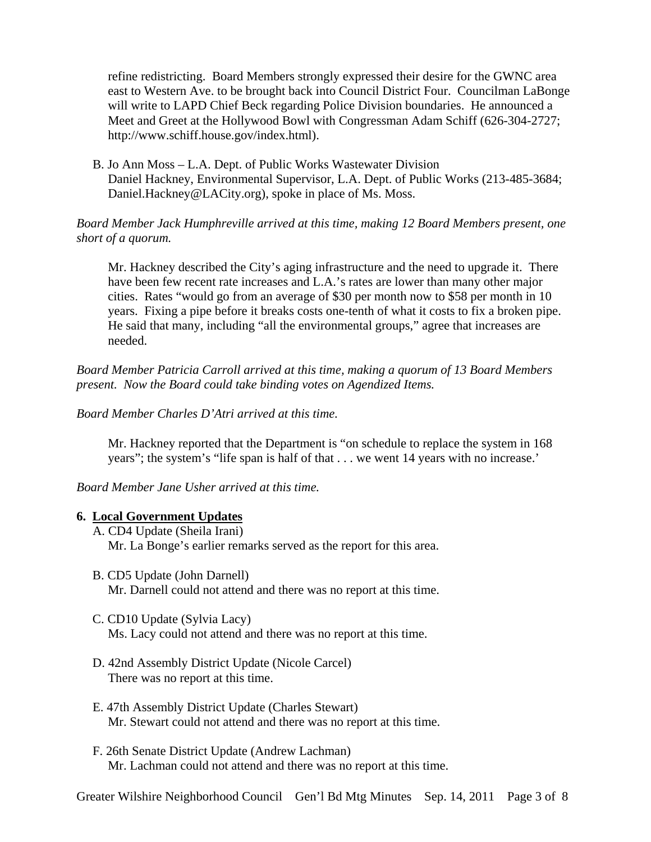refine redistricting. Board Members strongly expressed their desire for the GWNC area east to Western Ave. to be brought back into Council District Four. Councilman LaBonge will write to LAPD Chief Beck regarding Police Division boundaries. He announced a Meet and Greet at the Hollywood Bowl with Congressman Adam Schiff (626-304-2727; http://www.schiff.house.gov/index.html).

B. Jo Ann Moss – L.A. Dept. of Public Works Wastewater Division Daniel Hackney, Environmental Supervisor, L.A. Dept. of Public Works (213-485-3684; Daniel.Hackney@LACity.org), spoke in place of Ms. Moss.

### *Board Member Jack Humphreville arrived at this time, making 12 Board Members present, one short of a quorum.*

Mr. Hackney described the City's aging infrastructure and the need to upgrade it. There have been few recent rate increases and L.A.'s rates are lower than many other major cities. Rates "would go from an average of \$30 per month now to \$58 per month in 10 years. Fixing a pipe before it breaks costs one-tenth of what it costs to fix a broken pipe. He said that many, including "all the environmental groups," agree that increases are needed.

*Board Member Patricia Carroll arrived at this time, making a quorum of 13 Board Members present. Now the Board could take binding votes on Agendized Items.* 

*Board Member Charles D'Atri arrived at this time.*

Mr. Hackney reported that the Department is "on schedule to replace the system in 168 years"; the system's "life span is half of that . . . we went 14 years with no increase.'

*Board Member Jane Usher arrived at this time.*

### **6. Local Government Updates**

- A. CD4 Update (Sheila Irani) Mr. La Bonge's earlier remarks served as the report for this area.
- B. CD5 Update (John Darnell) Mr. Darnell could not attend and there was no report at this time.
- C. CD10 Update (Sylvia Lacy) Ms. Lacy could not attend and there was no report at this time.
- D. 42nd Assembly District Update (Nicole Carcel) There was no report at this time.
- E. 47th Assembly District Update (Charles Stewart) Mr. Stewart could not attend and there was no report at this time.
- F. 26th Senate District Update (Andrew Lachman) Mr. Lachman could not attend and there was no report at this time.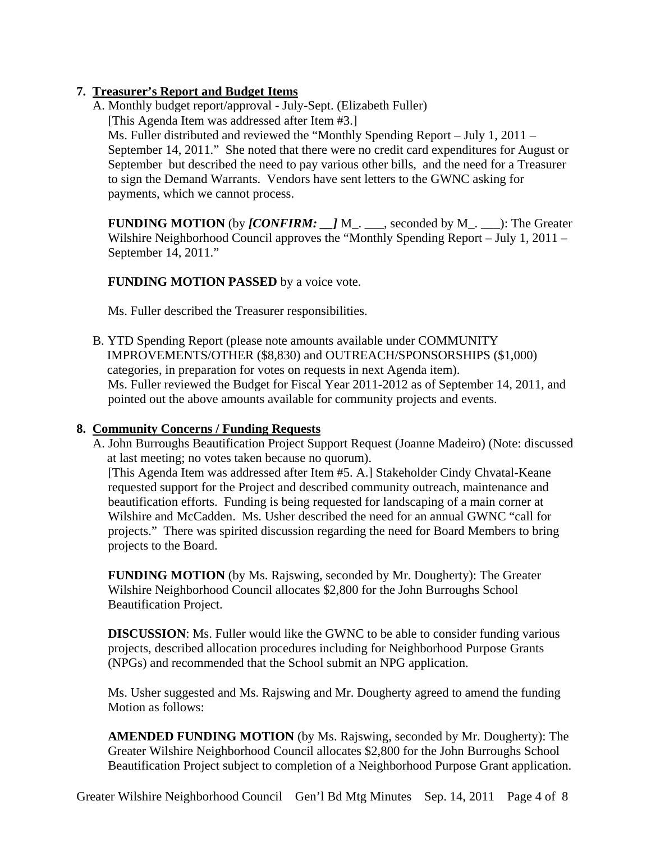# **7. Treasurer's Report and Budget Items**

A. Monthly budget report/approval - July-Sept. (Elizabeth Fuller) [This Agenda Item was addressed after Item #3.] Ms. Fuller distributed and reviewed the "Monthly Spending Report – July 1, 2011 – September 14, 2011." She noted that there were no credit card expenditures for August or September but described the need to pay various other bills, and the need for a Treasurer to sign the Demand Warrants. Vendors have sent letters to the GWNC asking for payments, which we cannot process.

**FUNDING MOTION** (by *[CONFIRM: ]* M . seconded by M . ): The Greater Wilshire Neighborhood Council approves the "Monthly Spending Report – July 1, 2011 – September 14, 2011."

# **FUNDING MOTION PASSED** by a voice vote.

Ms. Fuller described the Treasurer responsibilities.

B. YTD Spending Report (please note amounts available under COMMUNITY IMPROVEMENTS/OTHER (\$8,830) and OUTREACH/SPONSORSHIPS (\$1,000) categories, in preparation for votes on requests in next Agenda item). Ms. Fuller reviewed the Budget for Fiscal Year 2011-2012 as of September 14, 2011, and pointed out the above amounts available for community projects and events.

# **8. Community Concerns / Funding Requests**

A. John Burroughs Beautification Project Support Request (Joanne Madeiro) (Note: discussed at last meeting; no votes taken because no quorum).

[This Agenda Item was addressed after Item #5. A.] Stakeholder Cindy Chvatal-Keane requested support for the Project and described community outreach, maintenance and beautification efforts. Funding is being requested for landscaping of a main corner at Wilshire and McCadden. Ms. Usher described the need for an annual GWNC "call for projects." There was spirited discussion regarding the need for Board Members to bring projects to the Board.

**FUNDING MOTION** (by Ms. Rajswing, seconded by Mr. Dougherty): The Greater Wilshire Neighborhood Council allocates \$2,800 for the John Burroughs School Beautification Project.

**DISCUSSION:** Ms. Fuller would like the GWNC to be able to consider funding various projects, described allocation procedures including for Neighborhood Purpose Grants (NPGs) and recommended that the School submit an NPG application.

Ms. Usher suggested and Ms. Rajswing and Mr. Dougherty agreed to amend the funding Motion as follows:

**AMENDED FUNDING MOTION** (by Ms. Rajswing, seconded by Mr. Dougherty): The Greater Wilshire Neighborhood Council allocates \$2,800 for the John Burroughs School Beautification Project subject to completion of a Neighborhood Purpose Grant application.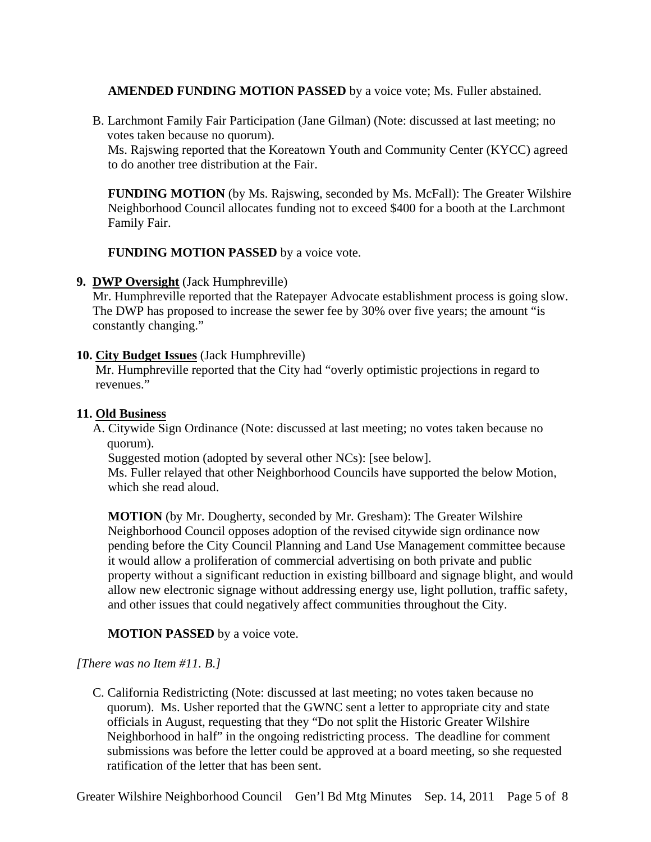### **AMENDED FUNDING MOTION PASSED** by a voice vote; Ms. Fuller abstained.

B. Larchmont Family Fair Participation (Jane Gilman) (Note: discussed at last meeting; no votes taken because no quorum).

Ms. Rajswing reported that the Koreatown Youth and Community Center (KYCC) agreed to do another tree distribution at the Fair.

**FUNDING MOTION** (by Ms. Rajswing, seconded by Ms. McFall): The Greater Wilshire Neighborhood Council allocates funding not to exceed \$400 for a booth at the Larchmont Family Fair.

**FUNDING MOTION PASSED** by a voice vote.

**9. DWP Oversight** (Jack Humphreville)

Mr. Humphreville reported that the Ratepayer Advocate establishment process is going slow. The DWP has proposed to increase the sewer fee by 30% over five years; the amount "is constantly changing."

### **10. City Budget Issues** (Jack Humphreville)

Mr. Humphreville reported that the City had "overly optimistic projections in regard to revenues."

### **11. Old Business**

A. Citywide Sign Ordinance (Note: discussed at last meeting; no votes taken because no quorum).

Suggested motion (adopted by several other NCs): [see below].

Ms. Fuller relayed that other Neighborhood Councils have supported the below Motion, which she read aloud.

**MOTION** (by Mr. Dougherty, seconded by Mr. Gresham): The Greater Wilshire Neighborhood Council opposes adoption of the revised citywide sign ordinance now pending before the City Council Planning and Land Use Management committee because it would allow a proliferation of commercial advertising on both private and public property without a significant reduction in existing billboard and signage blight, and would allow new electronic signage without addressing energy use, light pollution, traffic safety, and other issues that could negatively affect communities throughout the City.

## **MOTION PASSED** by a voice vote.

## *[There was no Item #11. B.]*

C. California Redistricting (Note: discussed at last meeting; no votes taken because no quorum). Ms. Usher reported that the GWNC sent a letter to appropriate city and state officials in August, requesting that they "Do not split the Historic Greater Wilshire Neighborhood in half" in the ongoing redistricting process. The deadline for comment submissions was before the letter could be approved at a board meeting, so she requested ratification of the letter that has been sent.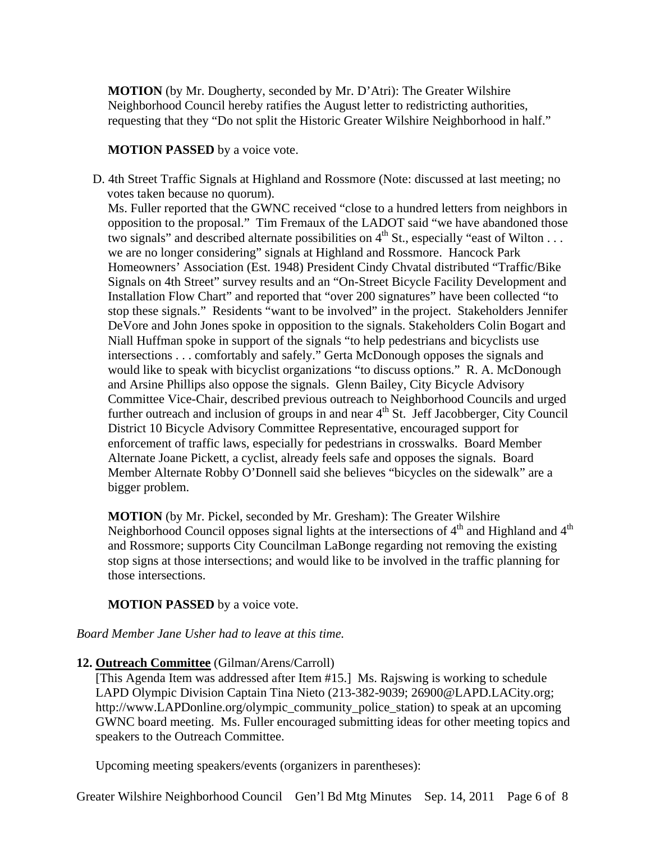**MOTION** (by Mr. Dougherty, seconded by Mr. D'Atri): The Greater Wilshire Neighborhood Council hereby ratifies the August letter to redistricting authorities, requesting that they "Do not split the Historic Greater Wilshire Neighborhood in half."

### **MOTION PASSED** by a voice vote.

D. 4th Street Traffic Signals at Highland and Rossmore (Note: discussed at last meeting; no votes taken because no quorum).

Ms. Fuller reported that the GWNC received "close to a hundred letters from neighbors in opposition to the proposal." Tim Fremaux of the LADOT said "we have abandoned those two signals" and described alternate possibilities on  $4<sup>th</sup>$  St., especially "east of Wilton ... we are no longer considering" signals at Highland and Rossmore. Hancock Park Homeowners' Association (Est. 1948) President Cindy Chvatal distributed "Traffic/Bike Signals on 4th Street" survey results and an "On-Street Bicycle Facility Development and Installation Flow Chart" and reported that "over 200 signatures" have been collected "to stop these signals." Residents "want to be involved" in the project. Stakeholders Jennifer DeVore and John Jones spoke in opposition to the signals. Stakeholders Colin Bogart and Niall Huffman spoke in support of the signals "to help pedestrians and bicyclists use intersections . . . comfortably and safely." Gerta McDonough opposes the signals and would like to speak with bicyclist organizations "to discuss options." R. A. McDonough and Arsine Phillips also oppose the signals. Glenn Bailey, City Bicycle Advisory Committee Vice-Chair, described previous outreach to Neighborhood Councils and urged further outreach and inclusion of groups in and near 4<sup>th</sup> St. Jeff Jacobberger, City Council District 10 Bicycle Advisory Committee Representative, encouraged support for enforcement of traffic laws, especially for pedestrians in crosswalks. Board Member Alternate Joane Pickett, a cyclist, already feels safe and opposes the signals. Board Member Alternate Robby O'Donnell said she believes "bicycles on the sidewalk" are a bigger problem.

**MOTION** (by Mr. Pickel, seconded by Mr. Gresham): The Greater Wilshire Neighborhood Council opposes signal lights at the intersections of  $4<sup>th</sup>$  and Highland and  $4<sup>th</sup>$ and Rossmore; supports City Councilman LaBonge regarding not removing the existing stop signs at those intersections; and would like to be involved in the traffic planning for those intersections.

### **MOTION PASSED** by a voice vote.

### *Board Member Jane Usher had to leave at this time.*

### **12. Outreach Committee** (Gilman/Arens/Carroll)

[This Agenda Item was addressed after Item #15.] Ms. Rajswing is working to schedule LAPD Olympic Division Captain Tina Nieto (213-382-9039; 26900@LAPD.LACity.org; http://www.LAPDonline.org/olympic\_community\_police\_station) to speak at an upcoming GWNC board meeting. Ms. Fuller encouraged submitting ideas for other meeting topics and speakers to the Outreach Committee.

Upcoming meeting speakers/events (organizers in parentheses):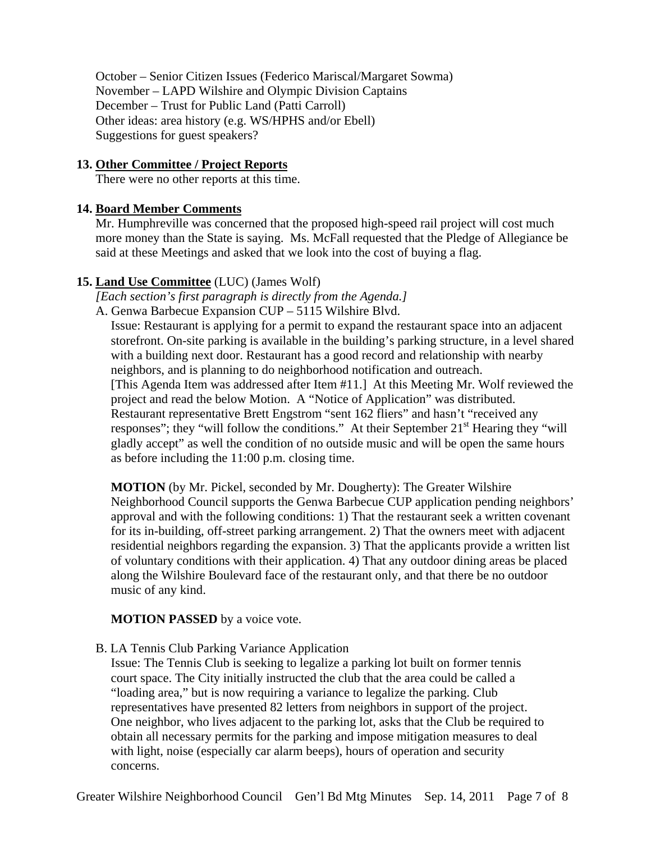October – Senior Citizen Issues (Federico Mariscal/Margaret Sowma) November – LAPD Wilshire and Olympic Division Captains December – Trust for Public Land (Patti Carroll) Other ideas: area history (e.g. WS/HPHS and/or Ebell) Suggestions for guest speakers?

### **13. Other Committee / Project Reports**

There were no other reports at this time.

### **14. Board Member Comments**

Mr. Humphreville was concerned that the proposed high-speed rail project will cost much more money than the State is saying. Ms. McFall requested that the Pledge of Allegiance be said at these Meetings and asked that we look into the cost of buying a flag.

### **15. Land Use Committee** (LUC) (James Wolf)

*[Each section's first paragraph is directly from the Agenda.]*

A. Genwa Barbecue Expansion CUP – 5115 Wilshire Blvd.

Issue: Restaurant is applying for a permit to expand the restaurant space into an adjacent storefront. On-site parking is available in the building's parking structure, in a level shared with a building next door. Restaurant has a good record and relationship with nearby neighbors, and is planning to do neighborhood notification and outreach. [This Agenda Item was addressed after Item #11.] At this Meeting Mr. Wolf reviewed the project and read the below Motion. A "Notice of Application" was distributed. Restaurant representative Brett Engstrom "sent 162 fliers" and hasn't "received any responses"; they "will follow the conditions." At their September  $21<sup>st</sup>$  Hearing they "will gladly accept" as well the condition of no outside music and will be open the same hours as before including the 11:00 p.m. closing time.

**MOTION** (by Mr. Pickel, seconded by Mr. Dougherty): The Greater Wilshire Neighborhood Council supports the Genwa Barbecue CUP application pending neighbors' approval and with the following conditions: 1) That the restaurant seek a written covenant for its in-building, off-street parking arrangement. 2) That the owners meet with adjacent residential neighbors regarding the expansion. 3) That the applicants provide a written list of voluntary conditions with their application. 4) That any outdoor dining areas be placed along the Wilshire Boulevard face of the restaurant only, and that there be no outdoor music of any kind.

### **MOTION PASSED** by a voice vote.

B. LA Tennis Club Parking Variance Application

Issue: The Tennis Club is seeking to legalize a parking lot built on former tennis court space. The City initially instructed the club that the area could be called a "loading area," but is now requiring a variance to legalize the parking. Club representatives have presented 82 letters from neighbors in support of the project. One neighbor, who lives adjacent to the parking lot, asks that the Club be required to obtain all necessary permits for the parking and impose mitigation measures to deal with light, noise (especially car alarm beeps), hours of operation and security concerns.